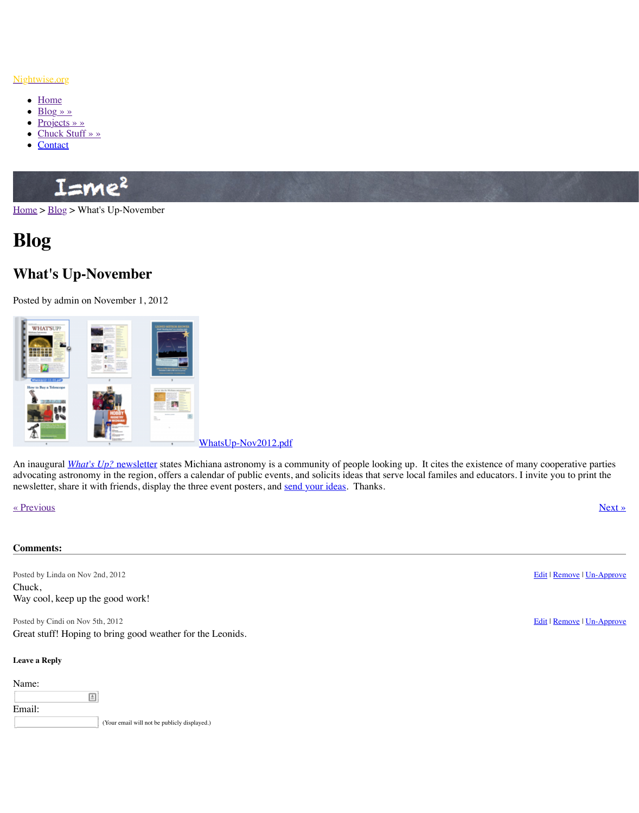

An in[augural](http://www.nightwise.org/contact/) *[What's U](http://www.nightwise.org/chuck-stuff/)p?* newsletter states Michiana astronomy is a community of people lo advocating astronomy in the region, offers a calendar of public events, and solicits ideas that newsletter, share it with friends, display the three event posters, and send your ideas. Thank

« Previous » Next » Next » Next » Next » Next » Next » Next » Next » Next » Next » Next » Next » Next » Next » Next » Next » Next » Next » Next » Next » Next » Next » Next » Next » Next » Next » Next » Next » Next » Next »

## **Comments:**

Posted by Linda on Nov 2nd, 2012 Chuck, Way cool, keep up the good work!

Posted by Cindi on Nov 5th, 2012

Great stuff! Hoping to bring good weather for the Leonids.

## **Leave a Reply**

Name: 圓 Email: [\(Your email will not be publicly display](http://www.nightwise.org/index.php/download_file/view/55/71/)ed.)